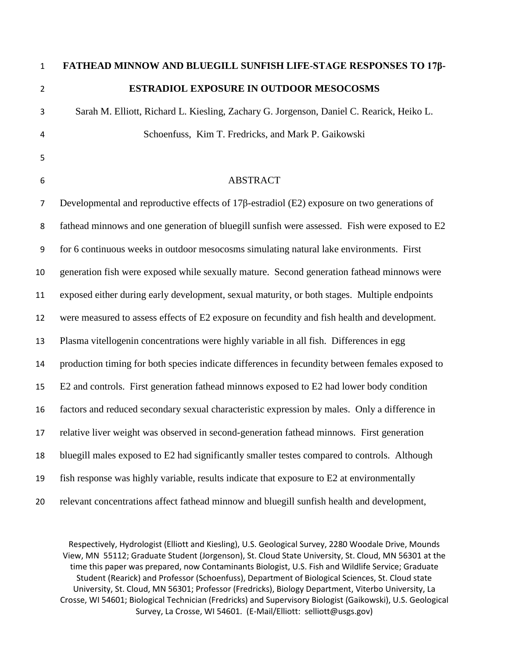# **FATHEAD MINNOW AND BLUEGILL SUNFISH LIFE-STAGE RESPONSES TO 17β-ESTRADIOL EXPOSURE IN OUTDOOR MESOCOSMS**

 Sarah M. Elliott, Richard L. Kiesling, Zachary G. Jorgenson, Daniel C. Rearick, Heiko L. Schoenfuss, Kim T. Fredricks, and Mark P. Gaikowski

## ABSTRACT

 Developmental and reproductive effects of 17β-estradiol (E2) exposure on two generations of fathead minnows and one generation of bluegill sunfish were assessed. Fish were exposed to E2 for 6 continuous weeks in outdoor mesocosms simulating natural lake environments. First generation fish were exposed while sexually mature. Second generation fathead minnows were exposed either during early development, sexual maturity, or both stages. Multiple endpoints were measured to assess effects of E2 exposure on fecundity and fish health and development. Plasma vitellogenin concentrations were highly variable in all fish. Differences in egg production timing for both species indicate differences in fecundity between females exposed to E2 and controls. First generation fathead minnows exposed to E2 had lower body condition factors and reduced secondary sexual characteristic expression by males. Only a difference in relative liver weight was observed in second-generation fathead minnows. First generation bluegill males exposed to E2 had significantly smaller testes compared to controls. Although fish response was highly variable, results indicate that exposure to E2 at environmentally relevant concentrations affect fathead minnow and bluegill sunfish health and development,

Respectively, Hydrologist (Elliott and Kiesling), U.S. Geological Survey, 2280 Woodale Drive, Mounds View, MN 55112; Graduate Student (Jorgenson), St. Cloud State University, St. Cloud, MN 56301 at the time this paper was prepared, now Contaminants Biologist, U.S. Fish and Wildlife Service; Graduate Student (Rearick) and Professor (Schoenfuss), Department of Biological Sciences, St. Cloud state University, St. Cloud, MN 56301; Professor (Fredricks), Biology Department, Viterbo University, La Crosse, WI 54601; Biological Technician (Fredricks) and Supervisory Biologist (Gaikowski), U.S. Geological Survey, La Crosse, WI 54601. (E-Mail/Elliott: selliott@usgs.gov)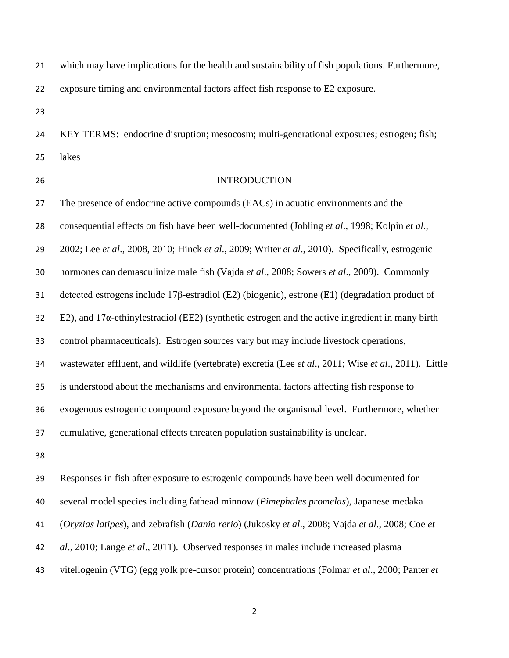which may have implications for the health and sustainability of fish populations. Furthermore,

exposure timing and environmental factors affect fish response to E2 exposure.

 KEY TERMS: endocrine disruption; mesocosm; multi-generational exposures; estrogen; fish; lakes

## INTRODUCTION

 The presence of endocrine active compounds (EACs) in aquatic environments and the consequential effects on fish have been well-documented (Jobling *et al*., 1998; Kolpin *et al*., 2002; Lee *et al*., 2008, 2010; Hinck *et al*., 2009; Writer *et al*., 2010). Specifically, estrogenic hormones can demasculinize male fish (Vajda *et al*., 2008; Sowers *et al*., 2009). Commonly detected estrogens include 17β-estradiol (E2) (biogenic), estrone (E1) (degradation product of 32 E2), and  $17\alpha$ -ethinylestradiol (EE2) (synthetic estrogen and the active ingredient in many birth control pharmaceuticals). Estrogen sources vary but may include livestock operations, wastewater effluent, and wildlife (vertebrate) excretia (Lee *et al*., 2011; Wise *et al*., 2011). Little is understood about the mechanisms and environmental factors affecting fish response to exogenous estrogenic compound exposure beyond the organismal level. Furthermore, whether cumulative, generational effects threaten population sustainability is unclear.

 Responses in fish after exposure to estrogenic compounds have been well documented for several model species including fathead minnow (*Pimephales promelas*), Japanese medaka (*Oryzias latipes*), and zebrafish (*Danio rerio*) (Jukosky *et al*., 2008; Vajda *et al*., 2008; Coe *et al*., 2010; Lange *et al*., 2011). Observed responses in males include increased plasma vitellogenin (VTG) (egg yolk pre-cursor protein) concentrations (Folmar *et al*., 2000; Panter *et*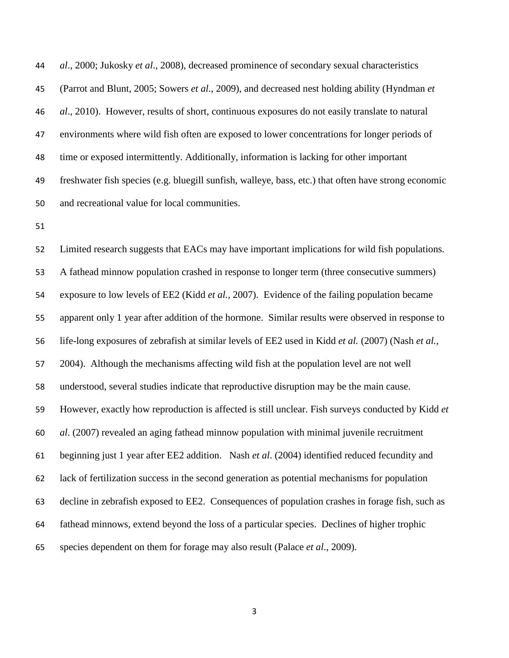*al*., 2000; Jukosky *et al*., 2008), decreased prominence of secondary sexual characteristics (Parrot and Blunt, 2005; Sowers *et al*., 2009), and decreased nest holding ability (Hyndman *et al*., 2010). However, results of short, continuous exposures do not easily translate to natural environments where wild fish often are exposed to lower concentrations for longer periods of time or exposed intermittently. Additionally, information is lacking for other important freshwater fish species (e.g. bluegill sunfish, walleye, bass, etc.) that often have strong economic and recreational value for local communities.

 Limited research suggests that EACs may have important implications for wild fish populations. A fathead minnow population crashed in response to longer term (three consecutive summers) exposure to low levels of EE2 (Kidd *et al.,* 2007). Evidence of the failing population became apparent only 1 year after addition of the hormone. Similar results were observed in response to life-long exposures of zebrafish at similar levels of EE2 used in Kidd *et al.* (2007) (Nash *et al.*, 2004). Although the mechanisms affecting wild fish at the population level are not well understood, several studies indicate that reproductive disruption may be the main cause. However, exactly how reproduction is affected is still unclear. Fish surveys conducted by Kidd *et al*. (2007) revealed an aging fathead minnow population with minimal juvenile recruitment beginning just 1 year after EE2 addition. Nash *et al*. (2004) identified reduced fecundity and lack of fertilization success in the second generation as potential mechanisms for population decline in zebrafish exposed to EE2. Consequences of population crashes in forage fish, such as fathead minnows, extend beyond the loss of a particular species. Declines of higher trophic species dependent on them for forage may also result (Palace *et al*., 2009).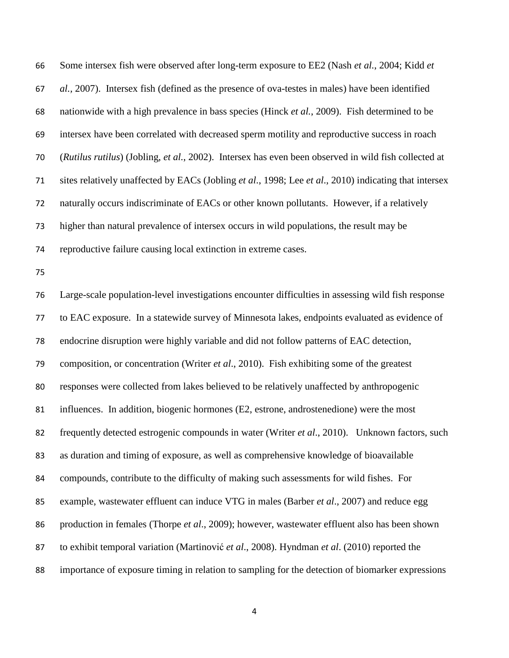Some intersex fish were observed after long-term exposure to EE2 (Nash *et al.*, 2004; Kidd *et al.,* 2007). Intersex fish (defined as the presence of ova-testes in males) have been identified nationwide with a high prevalence in bass species (Hinck *et al.*, 2009). Fish determined to be intersex have been correlated with decreased sperm motility and reproductive success in roach (*Rutilus rutilus*) (Jobling, *et al.*, 2002). Intersex has even been observed in wild fish collected at sites relatively unaffected by EACs (Jobling *et al*., 1998; Lee *et al*., 2010) indicating that intersex naturally occurs indiscriminate of EACs or other known pollutants. However, if a relatively higher than natural prevalence of intersex occurs in wild populations, the result may be reproductive failure causing local extinction in extreme cases.

 Large-scale population-level investigations encounter difficulties in assessing wild fish response to EAC exposure. In a statewide survey of Minnesota lakes, endpoints evaluated as evidence of endocrine disruption were highly variable and did not follow patterns of EAC detection, composition, or concentration (Writer *et al*., 2010). Fish exhibiting some of the greatest responses were collected from lakes believed to be relatively unaffected by anthropogenic influences. In addition, biogenic hormones (E2, estrone, androstenedione) were the most frequently detected estrogenic compounds in water (Writer *et al*., 2010). Unknown factors, such as duration and timing of exposure, as well as comprehensive knowledge of bioavailable compounds, contribute to the difficulty of making such assessments for wild fishes. For example, wastewater effluent can induce VTG in males (Barber *et al*., 2007) and reduce egg production in females (Thorpe *et al*., 2009); however, wastewater effluent also has been shown to exhibit temporal variation (Martinović *et al*., 2008). Hyndman *et al*. (2010) reported the importance of exposure timing in relation to sampling for the detection of biomarker expressions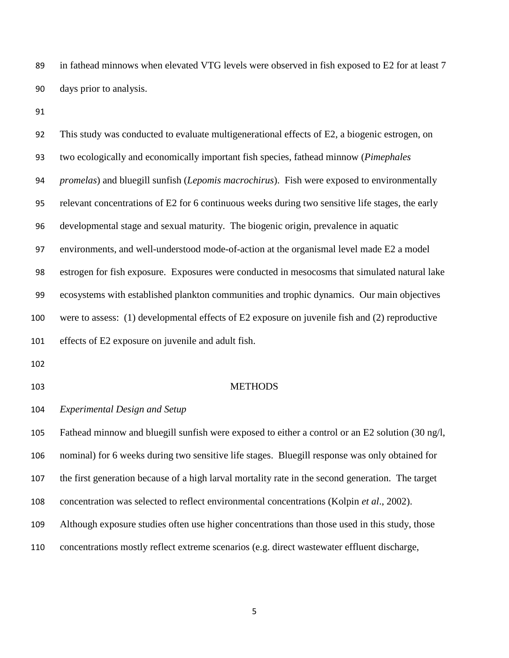in fathead minnows when elevated VTG levels were observed in fish exposed to E2 for at least 7 days prior to analysis.

 This study was conducted to evaluate multigenerational effects of E2, a biogenic estrogen, on two ecologically and economically important fish species, fathead minnow (*Pimephales promelas*) and bluegill sunfish (*Lepomis macrochirus*). Fish were exposed to environmentally relevant concentrations of E2 for 6 continuous weeks during two sensitive life stages, the early developmental stage and sexual maturity. The biogenic origin, prevalence in aquatic environments, and well-understood mode-of-action at the organismal level made E2 a model estrogen for fish exposure. Exposures were conducted in mesocosms that simulated natural lake ecosystems with established plankton communities and trophic dynamics. Our main objectives were to assess: (1) developmental effects of E2 exposure on juvenile fish and (2) reproductive effects of E2 exposure on juvenile and adult fish. METHODS *Experimental Design and Setup* Fathead minnow and bluegill sunfish were exposed to either a control or an E2 solution (30 ng/l, nominal) for 6 weeks during two sensitive life stages. Bluegill response was only obtained for

the first generation because of a high larval mortality rate in the second generation. The target

concentration was selected to reflect environmental concentrations (Kolpin *et al*., 2002).

- Although exposure studies often use higher concentrations than those used in this study, those
- concentrations mostly reflect extreme scenarios (e.g. direct wastewater effluent discharge,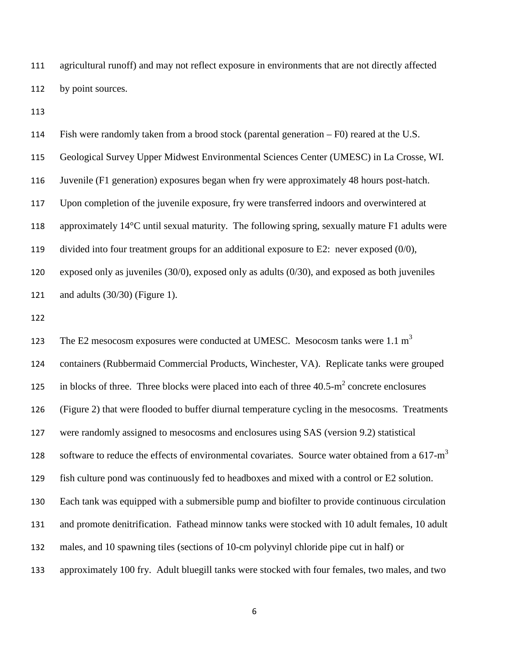agricultural runoff) and may not reflect exposure in environments that are not directly affected by point sources.

 Fish were randomly taken from a brood stock (parental generation – F0) reared at the U.S. Geological Survey Upper Midwest Environmental Sciences Center (UMESC) in La Crosse, WI. Juvenile (F1 generation) exposures began when fry were approximately 48 hours post-hatch. Upon completion of the juvenile exposure, fry were transferred indoors and overwintered at approximately 14°C until sexual maturity. The following spring, sexually mature F1 adults were divided into four treatment groups for an additional exposure to E2: never exposed (0/0), exposed only as juveniles (30/0), exposed only as adults (0/30), and exposed as both juveniles and adults (30/30) (Figure 1).

123 The E2 mesocosm exposures were conducted at UMESC. Mesocosm tanks were  $1.1 \text{ m}^3$  containers (Rubbermaid Commercial Products, Winchester, VA). Replicate tanks were grouped 125 in blocks of three. Three blocks were placed into each of three  $40.5 \text{--} \text{m}^2$  concrete enclosures (Figure 2) that were flooded to buffer diurnal temperature cycling in the mesocosms. Treatments were randomly assigned to mesocosms and enclosures using SAS (version 9.2) statistical 128 software to reduce the effects of environmental covariates. Source water obtained from a  $617-m<sup>3</sup>$  fish culture pond was continuously fed to headboxes and mixed with a control or E2 solution. Each tank was equipped with a submersible pump and biofilter to provide continuous circulation and promote denitrification. Fathead minnow tanks were stocked with 10 adult females, 10 adult males, and 10 spawning tiles (sections of 10-cm polyvinyl chloride pipe cut in half) or approximately 100 fry. Adult bluegill tanks were stocked with four females, two males, and two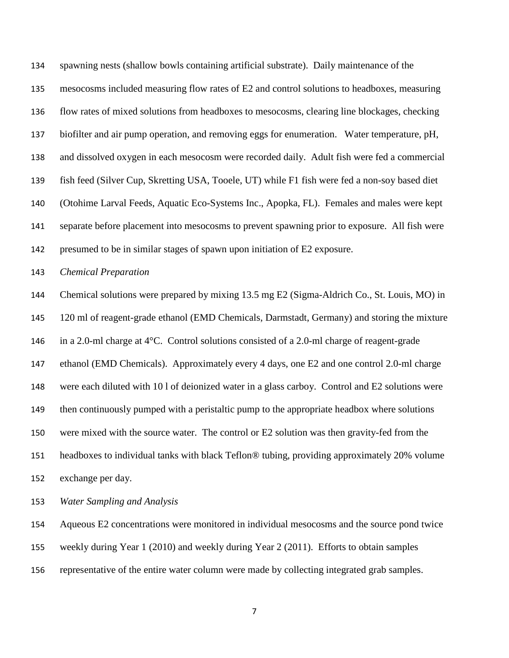spawning nests (shallow bowls containing artificial substrate). Daily maintenance of the mesocosms included measuring flow rates of E2 and control solutions to headboxes, measuring flow rates of mixed solutions from headboxes to mesocosms, clearing line blockages, checking biofilter and air pump operation, and removing eggs for enumeration. Water temperature, pH, and dissolved oxygen in each mesocosm were recorded daily. Adult fish were fed a commercial fish feed (Silver Cup, Skretting USA, Tooele, UT) while F1 fish were fed a non-soy based diet (Otohime Larval Feeds, Aquatic Eco-Systems Inc., Apopka, FL). Females and males were kept separate before placement into mesocosms to prevent spawning prior to exposure. All fish were presumed to be in similar stages of spawn upon initiation of E2 exposure.

#### *Chemical Preparation*

 Chemical solutions were prepared by mixing 13.5 mg E2 (Sigma-Aldrich Co., St. Louis, MO) in 120 ml of reagent-grade ethanol (EMD Chemicals, Darmstadt, Germany) and storing the mixture in a 2.0-ml charge at 4°C. Control solutions consisted of a 2.0-ml charge of reagent-grade ethanol (EMD Chemicals). Approximately every 4 days, one E2 and one control 2.0-ml charge were each diluted with 10 l of deionized water in a glass carboy. Control and E2 solutions were 149 then continuously pumped with a peristaltic pump to the appropriate headbox where solutions were mixed with the source water. The control or E2 solution was then gravity-fed from the headboxes to individual tanks with black Teflon® tubing, providing approximately 20% volume exchange per day.

*Water Sampling and Analysis*

Aqueous E2 concentrations were monitored in individual mesocosms and the source pond twice

weekly during Year 1 (2010) and weekly during Year 2 (2011). Efforts to obtain samples

representative of the entire water column were made by collecting integrated grab samples.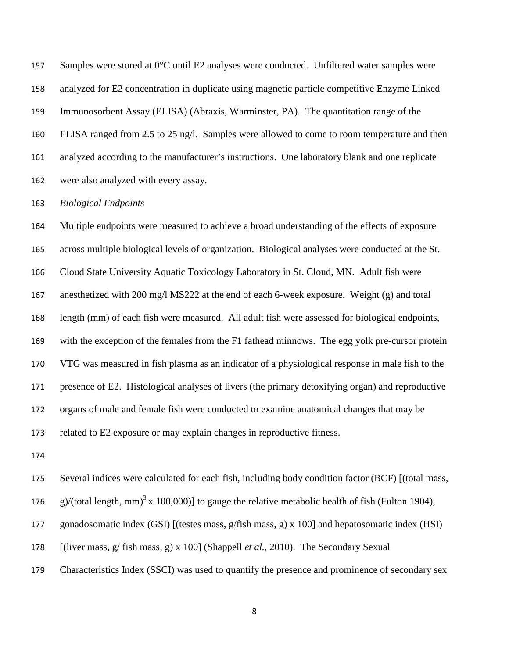Samples were stored at 0°C until E2 analyses were conducted. Unfiltered water samples were analyzed for E2 concentration in duplicate using magnetic particle competitive Enzyme Linked Immunosorbent Assay (ELISA) (Abraxis, Warminster, PA). The quantitation range of the ELISA ranged from 2.5 to 25 ng/l. Samples were allowed to come to room temperature and then analyzed according to the manufacturer's instructions. One laboratory blank and one replicate were also analyzed with every assay.

#### *Biological Endpoints*

 Multiple endpoints were measured to achieve a broad understanding of the effects of exposure across multiple biological levels of organization. Biological analyses were conducted at the St. Cloud State University Aquatic Toxicology Laboratory in St. Cloud, MN. Adult fish were anesthetized with 200 mg/l MS222 at the end of each 6-week exposure. Weight (g) and total length (mm) of each fish were measured. All adult fish were assessed for biological endpoints, with the exception of the females from the F1 fathead minnows. The egg yolk pre-cursor protein VTG was measured in fish plasma as an indicator of a physiological response in male fish to the presence of E2. Histological analyses of livers (the primary detoxifying organ) and reproductive organs of male and female fish were conducted to examine anatomical changes that may be related to E2 exposure or may explain changes in reproductive fitness.

Several indices were calculated for each fish, including body condition factor (BCF) [(total mass,

176 g)/(total length, mm)<sup>3</sup> x 100,000)] to gauge the relative metabolic health of fish (Fulton 1904),

- gonadosomatic index (GSI) [(testes mass, g/fish mass, g) x 100] and hepatosomatic index (HSI)
- [(liver mass, g/ fish mass, g) x 100] (Shappell *et al.*, 2010). The Secondary Sexual
- Characteristics Index (SSCI) was used to quantify the presence and prominence of secondary sex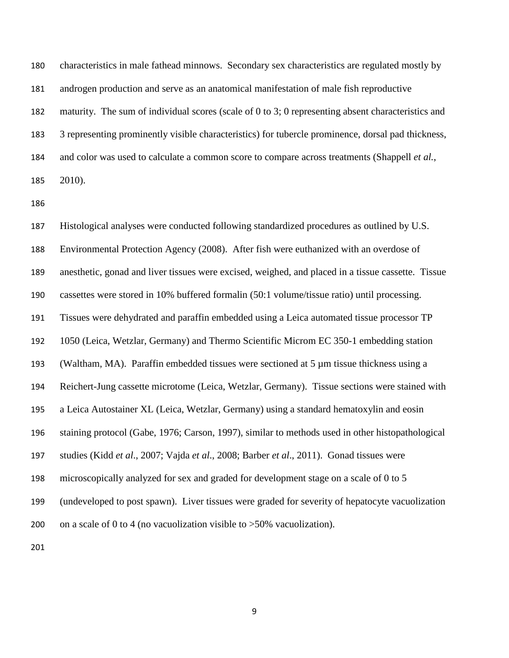characteristics in male fathead minnows. Secondary sex characteristics are regulated mostly by androgen production and serve as an anatomical manifestation of male fish reproductive maturity. The sum of individual scores (scale of 0 to 3; 0 representing absent characteristics and 3 representing prominently visible characteristics) for tubercle prominence, dorsal pad thickness, and color was used to calculate a common score to compare across treatments (Shappell *et al.*, 2010).

 Histological analyses were conducted following standardized procedures as outlined by U.S. Environmental Protection Agency (2008). After fish were euthanized with an overdose of anesthetic, gonad and liver tissues were excised, weighed, and placed in a tissue cassette. Tissue cassettes were stored in 10% buffered formalin (50:1 volume/tissue ratio) until processing. Tissues were dehydrated and paraffin embedded using a Leica automated tissue processor TP 1050 (Leica, Wetzlar, Germany) and Thermo Scientific Microm EC 350-1 embedding station 193 (Waltham, MA). Paraffin embedded tissues were sectioned at 5  $\mu$ m tissue thickness using a Reichert-Jung cassette microtome (Leica, Wetzlar, Germany). Tissue sections were stained with a Leica Autostainer XL (Leica, Wetzlar, Germany) using a standard hematoxylin and eosin staining protocol (Gabe, 1976; Carson, 1997), similar to methods used in other histopathological studies (Kidd *et al*., 2007; Vajda *et al*., 2008; Barber *et al*., 2011). Gonad tissues were microscopically analyzed for sex and graded for development stage on a scale of 0 to 5 (undeveloped to post spawn). Liver tissues were graded for severity of hepatocyte vacuolization 200 on a scale of 0 to 4 (no vacuolization visible to  $>50\%$  vacuolization).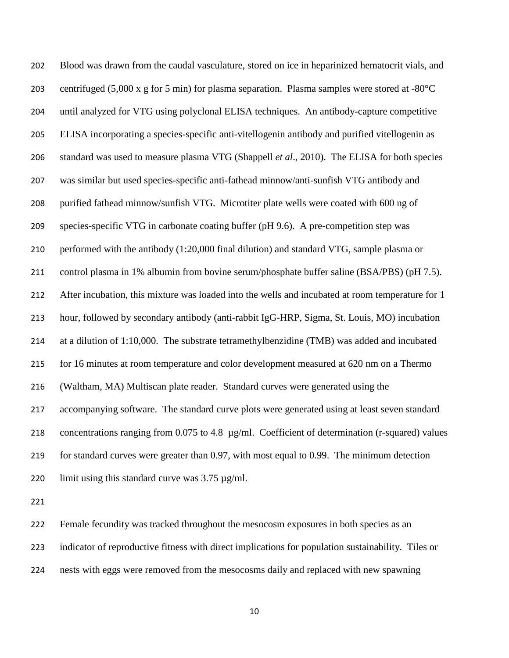Blood was drawn from the caudal vasculature, stored on ice in heparinized hematocrit vials, and centrifuged (5,000 x g for 5 min) for plasma separation. Plasma samples were stored at -80°C until analyzed for VTG using polyclonal ELISA techniques. An antibody-capture competitive ELISA incorporating a species-specific anti-vitellogenin antibody and purified vitellogenin as standard was used to measure plasma VTG (Shappell *et al*., 2010). The ELISA for both species was similar but used species-specific anti-fathead minnow/anti-sunfish VTG antibody and purified fathead minnow/sunfish VTG. Microtiter plate wells were coated with 600 ng of species-specific VTG in carbonate coating buffer (pH 9.6). A pre-competition step was performed with the antibody (1:20,000 final dilution) and standard VTG, sample plasma or control plasma in 1% albumin from bovine serum/phosphate buffer saline (BSA/PBS) (pH 7.5). 212 After incubation, this mixture was loaded into the wells and incubated at room temperature for 1 hour, followed by secondary antibody (anti-rabbit IgG-HRP, Sigma, St. Louis, MO) incubation at a dilution of 1:10,000. The substrate tetramethylbenzidine (TMB) was added and incubated for 16 minutes at room temperature and color development measured at 620 nm on a Thermo (Waltham, MA) Multiscan plate reader. Standard curves were generated using the accompanying software. The standard curve plots were generated using at least seven standard concentrations ranging from 0.075 to 4.8 µg/ml. Coefficient of determination (r-squared) values for standard curves were greater than 0.97, with most equal to 0.99. The minimum detection 220 limit using this standard curve was  $3.75 \mu$ g/ml.

 Female fecundity was tracked throughout the mesocosm exposures in both species as an indicator of reproductive fitness with direct implications for population sustainability. Tiles or nests with eggs were removed from the mesocosms daily and replaced with new spawning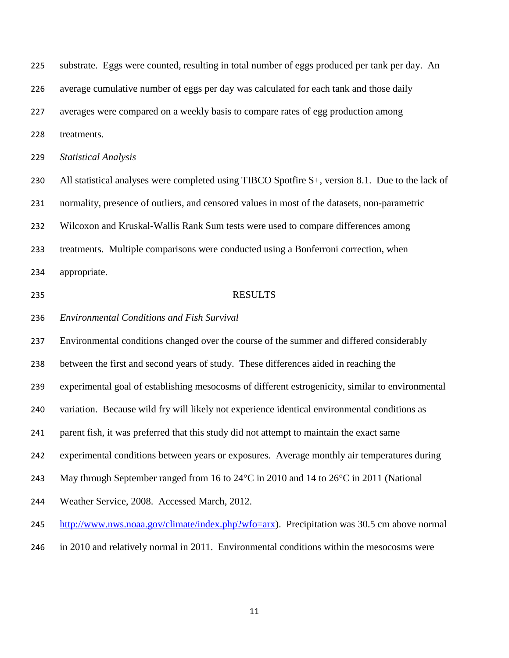substrate. Eggs were counted, resulting in total number of eggs produced per tank per day. An average cumulative number of eggs per day was calculated for each tank and those daily averages were compared on a weekly basis to compare rates of egg production among treatments. *Statistical Analysis* 230 All statistical analyses were completed using TIBCO Spotfire S+, version 8.1. Due to the lack of normality, presence of outliers, and censored values in most of the datasets, non-parametric Wilcoxon and Kruskal-Wallis Rank Sum tests were used to compare differences among treatments. Multiple comparisons were conducted using a Bonferroni correction, when appropriate. RESULTS *Environmental Conditions and Fish Survival* Environmental conditions changed over the course of the summer and differed considerably between the first and second years of study. These differences aided in reaching the experimental goal of establishing mesocosms of different estrogenicity, similar to environmental variation. Because wild fry will likely not experience identical environmental conditions as parent fish, it was preferred that this study did not attempt to maintain the exact same experimental conditions between years or exposures. Average monthly air temperatures during May through September ranged from 16 to 24°C in 2010 and 14 to 26°C in 2011 (National Weather Service, 2008. Accessed March, 2012. [http://www.nws.noaa.gov/climate/index.php?wfo=arx\)](http://www.nws.noaa.gov/climate/index.php?wfo=arx). Precipitation was 30.5 cm above normal in 2010 and relatively normal in 2011. Environmental conditions within the mesocosms were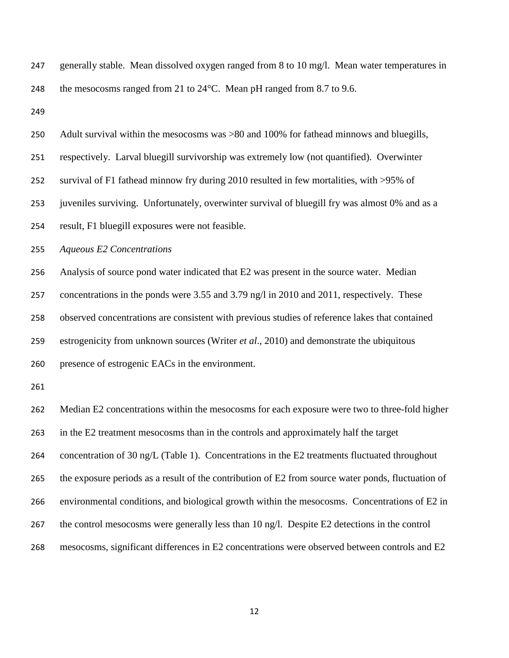| 247 | generally stable. Mean dissolved oxygen ranged from 8 to 10 mg/l. Mean water temperatures in       |  |  |  |  |  |  |  |
|-----|----------------------------------------------------------------------------------------------------|--|--|--|--|--|--|--|
| 248 | the mesocosms ranged from 21 to 24°C. Mean pH ranged from 8.7 to 9.6.                              |  |  |  |  |  |  |  |
| 249 |                                                                                                    |  |  |  |  |  |  |  |
| 250 | Adult survival within the mesocosms was >80 and 100% for fathead minnows and bluegills,            |  |  |  |  |  |  |  |
| 251 | respectively. Larval bluegill survivorship was extremely low (not quantified). Overwinter          |  |  |  |  |  |  |  |
| 252 | survival of F1 fathead minnow fry during 2010 resulted in few mortalities, with >95% of            |  |  |  |  |  |  |  |
| 253 | juveniles surviving. Unfortunately, overwinter survival of bluegill fry was almost 0% and as a     |  |  |  |  |  |  |  |
| 254 | result, F1 bluegill exposures were not feasible.                                                   |  |  |  |  |  |  |  |
| 255 | <b>Aqueous E2 Concentrations</b>                                                                   |  |  |  |  |  |  |  |
| 256 | Analysis of source pond water indicated that E2 was present in the source water. Median            |  |  |  |  |  |  |  |
| 257 | concentrations in the ponds were 3.55 and 3.79 ng/l in 2010 and 2011, respectively. These          |  |  |  |  |  |  |  |
| 258 | observed concentrations are consistent with previous studies of reference lakes that contained     |  |  |  |  |  |  |  |
| 259 | estrogenicity from unknown sources (Writer et al., 2010) and demonstrate the ubiquitous            |  |  |  |  |  |  |  |
| 260 | presence of estrogenic EACs in the environment.                                                    |  |  |  |  |  |  |  |
| 261 |                                                                                                    |  |  |  |  |  |  |  |
| 262 | Median E2 concentrations within the mesocosms for each exposure were two to three-fold higher      |  |  |  |  |  |  |  |
| 263 | in the E2 treatment mesocosms than in the controls and approximately half the target               |  |  |  |  |  |  |  |
| 264 | concentration of 30 ng/L (Table 1). Concentrations in the E2 treatments fluctuated throughout      |  |  |  |  |  |  |  |
| 265 | the exposure periods as a result of the contribution of E2 from source water ponds, fluctuation of |  |  |  |  |  |  |  |
| 266 | environmental conditions, and biological growth within the mesocosms. Concentrations of E2 in      |  |  |  |  |  |  |  |
| 267 | the control mesocosms were generally less than 10 ng/l. Despite E2 detections in the control       |  |  |  |  |  |  |  |
| 268 | mesocosms, significant differences in E2 concentrations were observed between controls and E2      |  |  |  |  |  |  |  |
|     |                                                                                                    |  |  |  |  |  |  |  |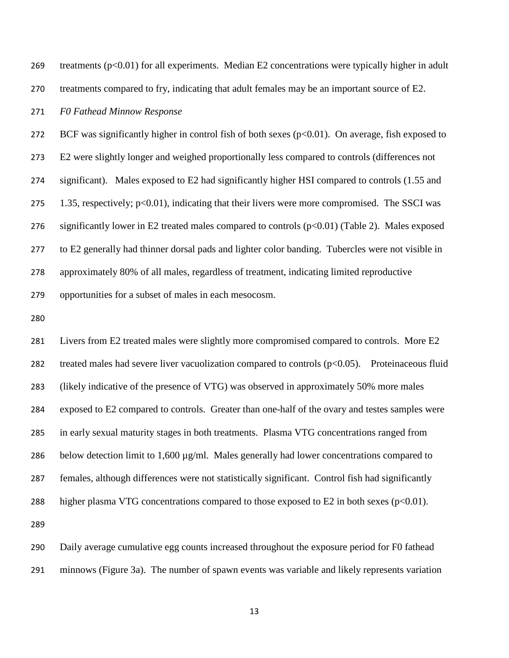treatments (p<0.01) for all experiments. Median E2 concentrations were typically higher in adult treatments compared to fry, indicating that adult females may be an important source of E2.

#### *F0 Fathead Minnow Response*

272 BCF was significantly higher in control fish of both sexes ( $p<0.01$ ). On average, fish exposed to E2 were slightly longer and weighed proportionally less compared to controls (differences not significant). Males exposed to E2 had significantly higher HSI compared to controls (1.55 and 275 1.35, respectively; p<0.01), indicating that their livers were more compromised. The SSCI was 276 significantly lower in E2 treated males compared to controls  $(p<0.01)$  (Table 2). Males exposed to E2 generally had thinner dorsal pads and lighter color banding. Tubercles were not visible in approximately 80% of all males, regardless of treatment, indicating limited reproductive opportunities for a subset of males in each mesocosm.

 Livers from E2 treated males were slightly more compromised compared to controls. More E2 treated males had severe liver vacuolization compared to controls (p<0.05). Proteinaceous fluid (likely indicative of the presence of VTG) was observed in approximately 50% more males exposed to E2 compared to controls. Greater than one-half of the ovary and testes samples were in early sexual maturity stages in both treatments. Plasma VTG concentrations ranged from 286 below detection limit to 1,600  $\mu$ g/ml. Males generally had lower concentrations compared to females, although differences were not statistically significant. Control fish had significantly 288 higher plasma VTG concentrations compared to those exposed to  $E2$  in both sexes ( $p<0.01$ ). 

 Daily average cumulative egg counts increased throughout the exposure period for F0 fathead minnows (Figure 3a). The number of spawn events was variable and likely represents variation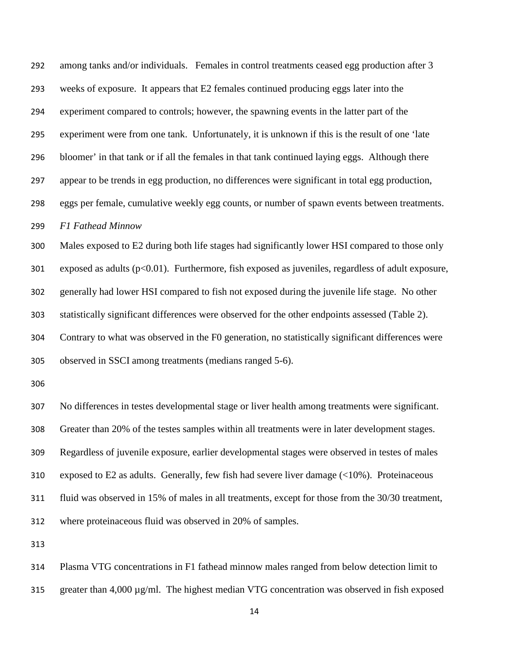among tanks and/or individuals. Females in control treatments ceased egg production after 3 weeks of exposure. It appears that E2 females continued producing eggs later into the experiment compared to controls; however, the spawning events in the latter part of the experiment were from one tank. Unfortunately, it is unknown if this is the result of one 'late bloomer' in that tank or if all the females in that tank continued laying eggs. Although there appear to be trends in egg production, no differences were significant in total egg production, eggs per female, cumulative weekly egg counts, or number of spawn events between treatments. *F1 Fathead Minnow* Males exposed to E2 during both life stages had significantly lower HSI compared to those only 301 exposed as adults  $(p<0.01)$ . Furthermore, fish exposed as juveniles, regardless of adult exposure, generally had lower HSI compared to fish not exposed during the juvenile life stage. No other statistically significant differences were observed for the other endpoints assessed (Table 2). Contrary to what was observed in the F0 generation, no statistically significant differences were observed in SSCI among treatments (medians ranged 5-6).

 No differences in testes developmental stage or liver health among treatments were significant. Greater than 20% of the testes samples within all treatments were in later development stages. Regardless of juvenile exposure, earlier developmental stages were observed in testes of males exposed to E2 as adults. Generally, few fish had severe liver damage (<10%). Proteinaceous fluid was observed in 15% of males in all treatments, except for those from the 30/30 treatment, where proteinaceous fluid was observed in 20% of samples.

 Plasma VTG concentrations in F1 fathead minnow males ranged from below detection limit to 315 greater than  $4,000 \mu$ g/ml. The highest median VTG concentration was observed in fish exposed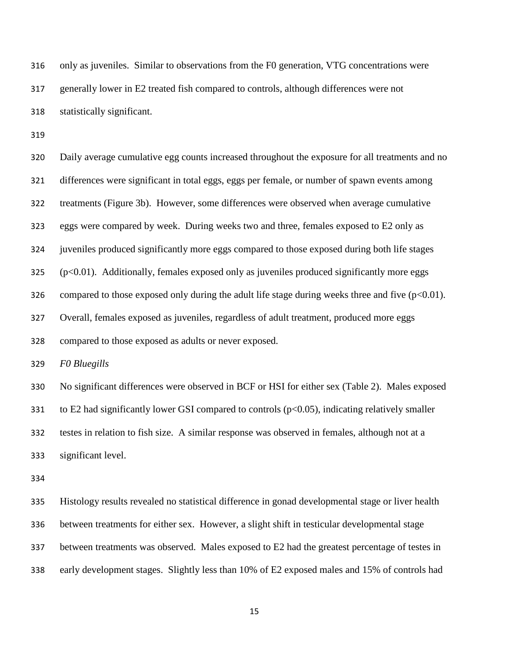only as juveniles. Similar to observations from the F0 generation, VTG concentrations were generally lower in E2 treated fish compared to controls, although differences were not statistically significant.

 Daily average cumulative egg counts increased throughout the exposure for all treatments and no differences were significant in total eggs, eggs per female, or number of spawn events among treatments (Figure 3b). However, some differences were observed when average cumulative eggs were compared by week. During weeks two and three, females exposed to E2 only as juveniles produced significantly more eggs compared to those exposed during both life stages (p<0.01). Additionally, females exposed only as juveniles produced significantly more eggs 326 compared to those exposed only during the adult life stage during weeks three and five  $(p<0.01)$ . Overall, females exposed as juveniles, regardless of adult treatment, produced more eggs compared to those exposed as adults or never exposed.

*F0 Bluegills*

 No significant differences were observed in BCF or HSI for either sex (Table 2). Males exposed 331 to E2 had significantly lower GSI compared to controls ( $p<0.05$ ), indicating relatively smaller testes in relation to fish size. A similar response was observed in females, although not at a significant level.

 Histology results revealed no statistical difference in gonad developmental stage or liver health between treatments for either sex. However, a slight shift in testicular developmental stage between treatments was observed. Males exposed to E2 had the greatest percentage of testes in early development stages. Slightly less than 10% of E2 exposed males and 15% of controls had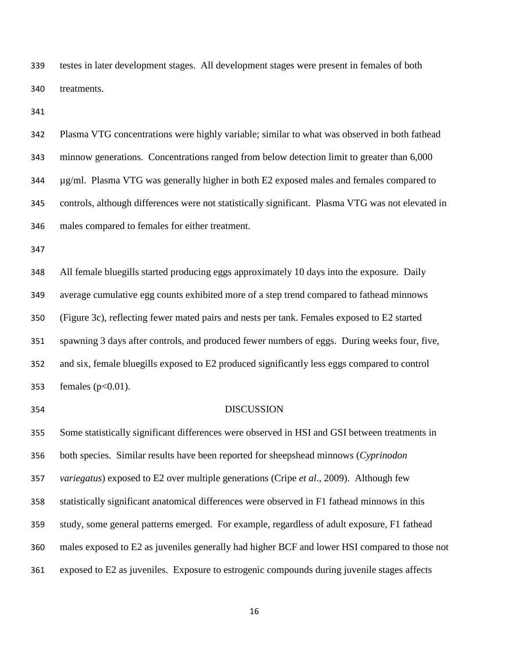testes in later development stages. All development stages were present in females of both treatments.

 Plasma VTG concentrations were highly variable; similar to what was observed in both fathead minnow generations. Concentrations ranged from below detection limit to greater than 6,000 µg/ml. Plasma VTG was generally higher in both E2 exposed males and females compared to controls, although differences were not statistically significant. Plasma VTG was not elevated in males compared to females for either treatment.

 All female bluegills started producing eggs approximately 10 days into the exposure. Daily average cumulative egg counts exhibited more of a step trend compared to fathead minnows (Figure 3c), reflecting fewer mated pairs and nests per tank. Females exposed to E2 started spawning 3 days after controls, and produced fewer numbers of eggs. During weeks four, five, and six, female bluegills exposed to E2 produced significantly less eggs compared to control 353 females ( $p < 0.01$ ).

#### DISCUSSION

 Some statistically significant differences were observed in HSI and GSI between treatments in both species. Similar results have been reported for sheepshead minnows (*Cyprinodon variegatus*) exposed to E2 over multiple generations (Cripe *et al*., 2009). Although few statistically significant anatomical differences were observed in F1 fathead minnows in this study, some general patterns emerged. For example, regardless of adult exposure, F1 fathead males exposed to E2 as juveniles generally had higher BCF and lower HSI compared to those not exposed to E2 as juveniles. Exposure to estrogenic compounds during juvenile stages affects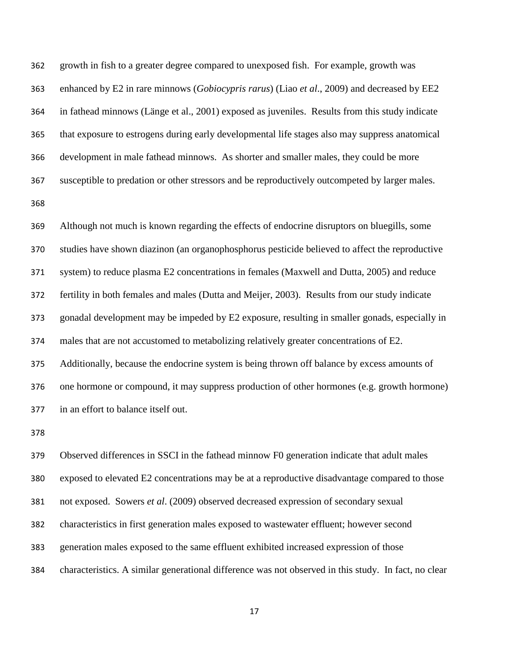growth in fish to a greater degree compared to unexposed fish. For example, growth was enhanced by E2 in rare minnows (*Gobiocypris rarus*) (Liao *et al*., 2009) and decreased by EE2 in fathead minnows (Länge et al., 2001) exposed as juveniles. Results from this study indicate that exposure to estrogens during early developmental life stages also may suppress anatomical development in male fathead minnows. As shorter and smaller males, they could be more susceptible to predation or other stressors and be reproductively outcompeted by larger males. Although not much is known regarding the effects of endocrine disruptors on bluegills, some studies have shown diazinon (an organophosphorus pesticide believed to affect the reproductive system) to reduce plasma E2 concentrations in females (Maxwell and Dutta, 2005) and reduce fertility in both females and males (Dutta and Meijer, 2003). Results from our study indicate gonadal development may be impeded by E2 exposure, resulting in smaller gonads, especially in males that are not accustomed to metabolizing relatively greater concentrations of E2. Additionally, because the endocrine system is being thrown off balance by excess amounts of one hormone or compound, it may suppress production of other hormones (e.g. growth hormone)

in an effort to balance itself out.

 Observed differences in SSCI in the fathead minnow F0 generation indicate that adult males exposed to elevated E2 concentrations may be at a reproductive disadvantage compared to those not exposed. Sowers *et al*. (2009) observed decreased expression of secondary sexual characteristics in first generation males exposed to wastewater effluent; however second generation males exposed to the same effluent exhibited increased expression of those characteristics. A similar generational difference was not observed in this study. In fact, no clear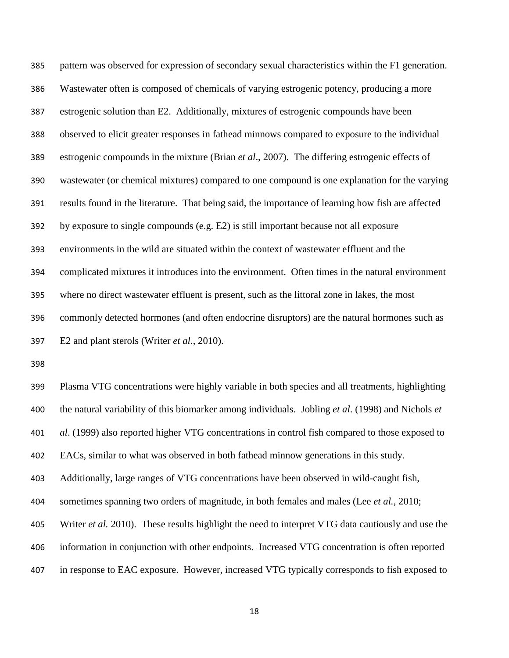pattern was observed for expression of secondary sexual characteristics within the F1 generation. Wastewater often is composed of chemicals of varying estrogenic potency, producing a more estrogenic solution than E2. Additionally, mixtures of estrogenic compounds have been observed to elicit greater responses in fathead minnows compared to exposure to the individual estrogenic compounds in the mixture (Brian *et al*., 2007). The differing estrogenic effects of wastewater (or chemical mixtures) compared to one compound is one explanation for the varying results found in the literature. That being said, the importance of learning how fish are affected by exposure to single compounds (e.g. E2) is still important because not all exposure environments in the wild are situated within the context of wastewater effluent and the complicated mixtures it introduces into the environment. Often times in the natural environment where no direct wastewater effluent is present, such as the littoral zone in lakes, the most commonly detected hormones (and often endocrine disruptors) are the natural hormones such as E2 and plant sterols (Writer *et al.*, 2010).

 Plasma VTG concentrations were highly variable in both species and all treatments, highlighting the natural variability of this biomarker among individuals. Jobling *et al*. (1998) and Nichols *et al*. (1999) also reported higher VTG concentrations in control fish compared to those exposed to EACs, similar to what was observed in both fathead minnow generations in this study. Additionally, large ranges of VTG concentrations have been observed in wild-caught fish, sometimes spanning two orders of magnitude, in both females and males (Lee *et al.*, 2010; Writer *et al.* 2010). These results highlight the need to interpret VTG data cautiously and use the information in conjunction with other endpoints. Increased VTG concentration is often reported in response to EAC exposure. However, increased VTG typically corresponds to fish exposed to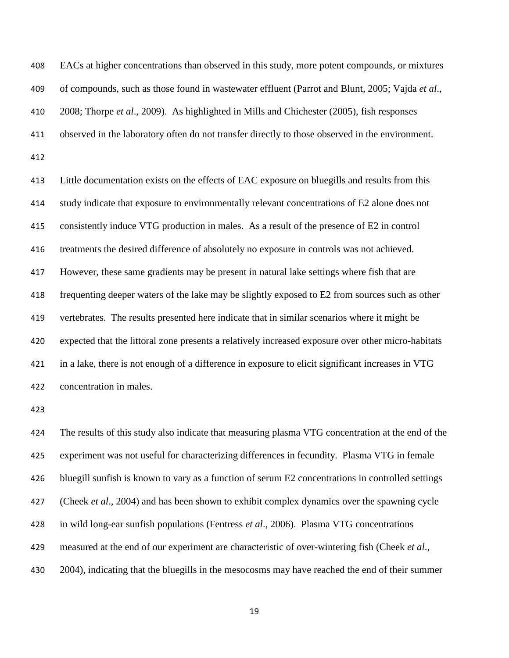EACs at higher concentrations than observed in this study, more potent compounds, or mixtures of compounds, such as those found in wastewater effluent (Parrot and Blunt, 2005; Vajda *et al*., 2008; Thorpe *et al*., 2009). As highlighted in Mills and Chichester (2005), fish responses observed in the laboratory often do not transfer directly to those observed in the environment. 

 Little documentation exists on the effects of EAC exposure on bluegills and results from this study indicate that exposure to environmentally relevant concentrations of E2 alone does not consistently induce VTG production in males. As a result of the presence of E2 in control treatments the desired difference of absolutely no exposure in controls was not achieved. However, these same gradients may be present in natural lake settings where fish that are frequenting deeper waters of the lake may be slightly exposed to E2 from sources such as other vertebrates. The results presented here indicate that in similar scenarios where it might be expected that the littoral zone presents a relatively increased exposure over other micro-habitats in a lake, there is not enough of a difference in exposure to elicit significant increases in VTG concentration in males.

 The results of this study also indicate that measuring plasma VTG concentration at the end of the experiment was not useful for characterizing differences in fecundity. Plasma VTG in female bluegill sunfish is known to vary as a function of serum E2 concentrations in controlled settings (Cheek *et al*., 2004) and has been shown to exhibit complex dynamics over the spawning cycle in wild long-ear sunfish populations (Fentress *et al*., 2006). Plasma VTG concentrations measured at the end of our experiment are characteristic of over-wintering fish (Cheek *et al*., 2004), indicating that the bluegills in the mesocosms may have reached the end of their summer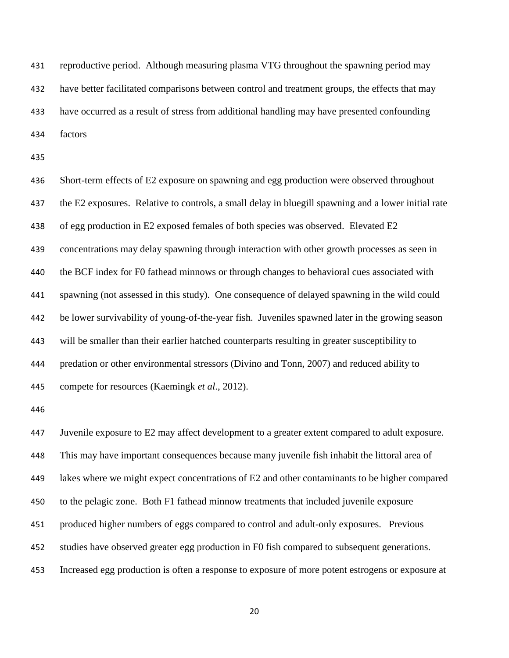reproductive period. Although measuring plasma VTG throughout the spawning period may have better facilitated comparisons between control and treatment groups, the effects that may have occurred as a result of stress from additional handling may have presented confounding factors

 Short-term effects of E2 exposure on spawning and egg production were observed throughout the E2 exposures. Relative to controls, a small delay in bluegill spawning and a lower initial rate of egg production in E2 exposed females of both species was observed. Elevated E2 concentrations may delay spawning through interaction with other growth processes as seen in the BCF index for F0 fathead minnows or through changes to behavioral cues associated with spawning (not assessed in this study). One consequence of delayed spawning in the wild could be lower survivability of young-of-the-year fish. Juveniles spawned later in the growing season will be smaller than their earlier hatched counterparts resulting in greater susceptibility to predation or other environmental stressors (Divino and Tonn, 2007) and reduced ability to compete for resources (Kaemingk *et al*., 2012).

 Juvenile exposure to E2 may affect development to a greater extent compared to adult exposure. This may have important consequences because many juvenile fish inhabit the littoral area of lakes where we might expect concentrations of E2 and other contaminants to be higher compared to the pelagic zone. Both F1 fathead minnow treatments that included juvenile exposure produced higher numbers of eggs compared to control and adult-only exposures. Previous studies have observed greater egg production in F0 fish compared to subsequent generations. Increased egg production is often a response to exposure of more potent estrogens or exposure at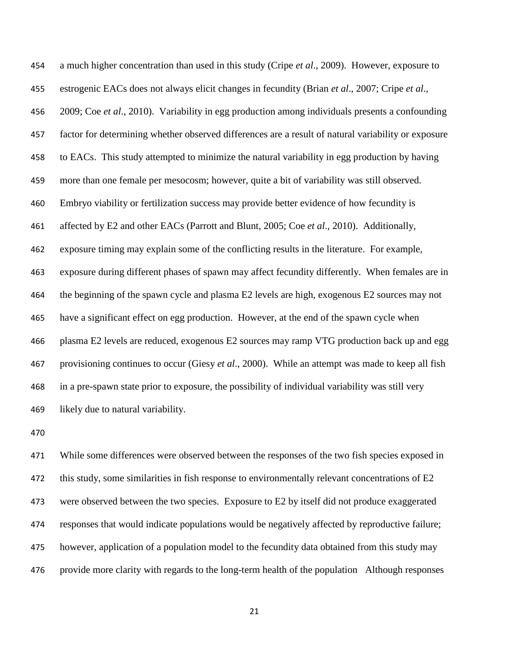a much higher concentration than used in this study (Cripe *et al*., 2009). However, exposure to estrogenic EACs does not always elicit changes in fecundity (Brian *et al*., 2007; Cripe *et al*., 2009; Coe *et al*., 2010). Variability in egg production among individuals presents a confounding factor for determining whether observed differences are a result of natural variability or exposure to EACs. This study attempted to minimize the natural variability in egg production by having more than one female per mesocosm; however, quite a bit of variability was still observed. Embryo viability or fertilization success may provide better evidence of how fecundity is affected by E2 and other EACs (Parrott and Blunt, 2005; Coe *et al*., 2010). Additionally, exposure timing may explain some of the conflicting results in the literature. For example, exposure during different phases of spawn may affect fecundity differently. When females are in the beginning of the spawn cycle and plasma E2 levels are high, exogenous E2 sources may not have a significant effect on egg production. However, at the end of the spawn cycle when plasma E2 levels are reduced, exogenous E2 sources may ramp VTG production back up and egg provisioning continues to occur (Giesy *et al*., 2000). While an attempt was made to keep all fish in a pre-spawn state prior to exposure, the possibility of individual variability was still very likely due to natural variability.

 While some differences were observed between the responses of the two fish species exposed in this study, some similarities in fish response to environmentally relevant concentrations of E2 were observed between the two species. Exposure to E2 by itself did not produce exaggerated responses that would indicate populations would be negatively affected by reproductive failure; however, application of a population model to the fecundity data obtained from this study may provide more clarity with regards to the long-term health of the population Although responses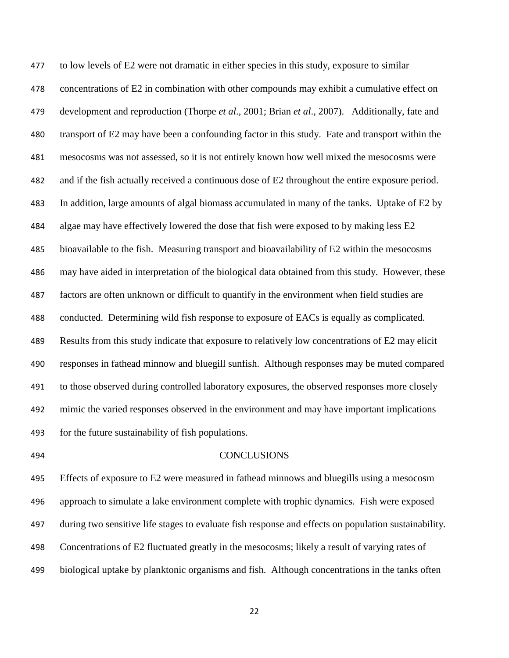to low levels of E2 were not dramatic in either species in this study, exposure to similar concentrations of E2 in combination with other compounds may exhibit a cumulative effect on development and reproduction (Thorpe *et al*., 2001; Brian *et al*., 2007). Additionally, fate and transport of E2 may have been a confounding factor in this study. Fate and transport within the mesocosms was not assessed, so it is not entirely known how well mixed the mesocosms were and if the fish actually received a continuous dose of E2 throughout the entire exposure period. In addition, large amounts of algal biomass accumulated in many of the tanks. Uptake of E2 by algae may have effectively lowered the dose that fish were exposed to by making less E2 bioavailable to the fish. Measuring transport and bioavailability of E2 within the mesocosms may have aided in interpretation of the biological data obtained from this study. However, these factors are often unknown or difficult to quantify in the environment when field studies are conducted. Determining wild fish response to exposure of EACs is equally as complicated. Results from this study indicate that exposure to relatively low concentrations of E2 may elicit responses in fathead minnow and bluegill sunfish. Although responses may be muted compared to those observed during controlled laboratory exposures, the observed responses more closely mimic the varied responses observed in the environment and may have important implications for the future sustainability of fish populations.

#### CONCLUSIONS

 Effects of exposure to E2 were measured in fathead minnows and bluegills using a mesocosm approach to simulate a lake environment complete with trophic dynamics. Fish were exposed during two sensitive life stages to evaluate fish response and effects on population sustainability. Concentrations of E2 fluctuated greatly in the mesocosms; likely a result of varying rates of biological uptake by planktonic organisms and fish. Although concentrations in the tanks often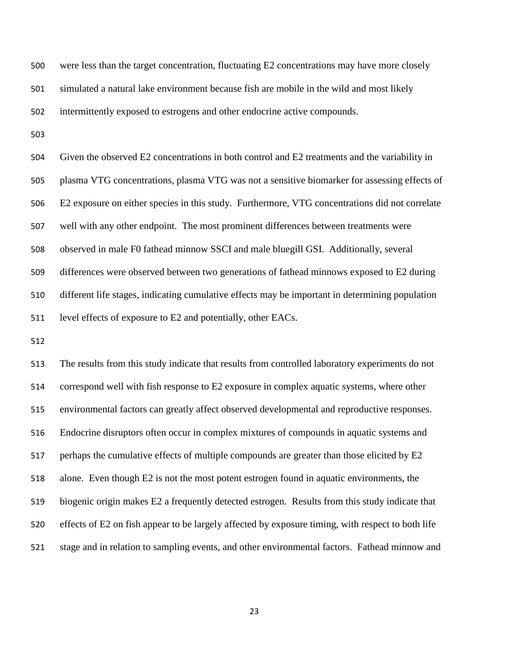were less than the target concentration, fluctuating E2 concentrations may have more closely simulated a natural lake environment because fish are mobile in the wild and most likely intermittently exposed to estrogens and other endocrine active compounds.

 Given the observed E2 concentrations in both control and E2 treatments and the variability in plasma VTG concentrations, plasma VTG was not a sensitive biomarker for assessing effects of E2 exposure on either species in this study. Furthermore, VTG concentrations did not correlate well with any other endpoint. The most prominent differences between treatments were observed in male F0 fathead minnow SSCI and male bluegill GSI. Additionally, several differences were observed between two generations of fathead minnows exposed to E2 during different life stages, indicating cumulative effects may be important in determining population level effects of exposure to E2 and potentially, other EACs.

 The results from this study indicate that results from controlled laboratory experiments do not correspond well with fish response to E2 exposure in complex aquatic systems, where other environmental factors can greatly affect observed developmental and reproductive responses. Endocrine disruptors often occur in complex mixtures of compounds in aquatic systems and 517 perhaps the cumulative effects of multiple compounds are greater than those elicited by E2 alone. Even though E2 is not the most potent estrogen found in aquatic environments, the biogenic origin makes E2 a frequently detected estrogen. Results from this study indicate that effects of E2 on fish appear to be largely affected by exposure timing, with respect to both life stage and in relation to sampling events, and other environmental factors. Fathead minnow and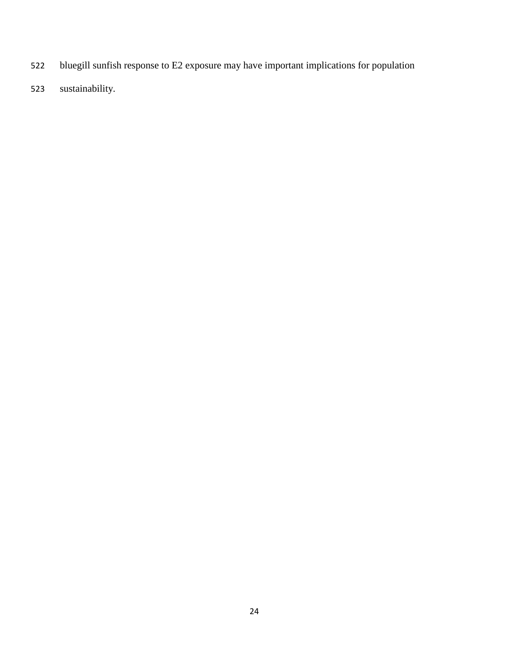- bluegill sunfish response to E2 exposure may have important implications for population
- sustainability.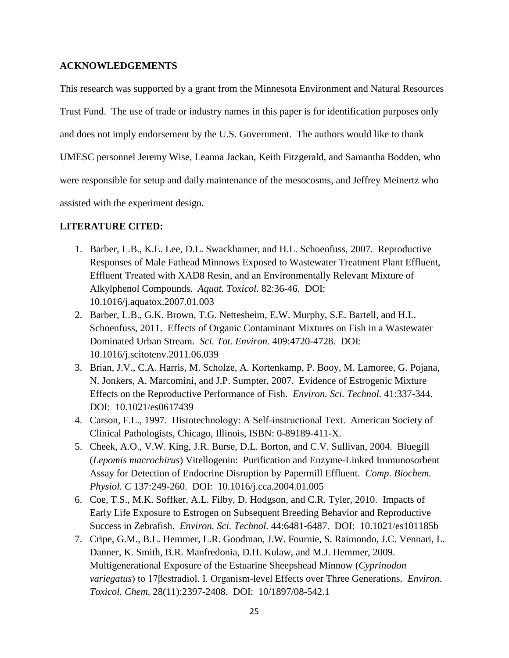## **ACKNOWLEDGEMENTS**

This research was supported by a grant from the Minnesota Environment and Natural Resources Trust Fund. The use of trade or industry names in this paper is for identification purposes only and does not imply endorsement by the U.S. Government. The authors would like to thank UMESC personnel Jeremy Wise, Leanna Jackan, Keith Fitzgerald, and Samantha Bodden, who were responsible for setup and daily maintenance of the mesocosms, and Jeffrey Meinertz who assisted with the experiment design.

## **LITERATURE CITED:**

- 1. Barber, L.B., K.E. Lee, D.L. Swackhamer, and H.L. Schoenfuss, 2007. Reproductive Responses of Male Fathead Minnows Exposed to Wastewater Treatment Plant Effluent, Effluent Treated with XAD8 Resin, and an Environmentally Relevant Mixture of Alkylphenol Compounds. *Aquat. Toxicol.* 82:36-46. DOI: 10.1016/j.aquatox.2007.01.003
- 2. Barber, L.B., G.K. Brown, T.G. Nettesheim, E.W. Murphy, S.E. Bartell, and H.L. Schoenfuss, 2011. Effects of Organic Contaminant Mixtures on Fish in a Wastewater Dominated Urban Stream. *Sci. Tot. Environ.* 409:4720-4728. DOI: 10.1016/j.scitotenv.2011.06.039
- 3. Brian, J.V., C.A. Harris, M. Scholze, A. Kortenkamp, P. Booy, M. Lamoree, G. Pojana, N. Jonkers, A. Marcomini, and J.P. Sumpter, 2007. Evidence of Estrogenic Mixture Effects on the Reproductive Performance of Fish. *Environ. Sci. Technol.* 41:337-344. DOI: 10.1021/es0617439
- 4. Carson, F.L., 1997. Histotechnology: A Self-instructional Text. American Society of Clinical Pathologists, Chicago, Illinois, ISBN: 0-89189-411-X.
- 5. Cheek, A.O., V.W. King, J.R. Burse, D.L. Borton, and C.V. Sullivan, 2004. Bluegill (*Lepomis macrochirus*) Vitellogenin: Purification and Enzyme-Linked Immunosorbent Assay for Detection of Endocrine Disruption by Papermill Effluent. *Comp. Biochem. Physiol. C* 137:249-260. DOI: 10.1016/j.cca.2004.01.005
- 6. Coe, T.S., M.K. Soffker, A.L. Filby, D. Hodgson, and C.R. Tyler, 2010. Impacts of Early Life Exposure to Estrogen on Subsequent Breeding Behavior and Reproductive Success in Zebrafish. *Environ. Sci. Technol.* 44:6481-6487. DOI: 10.1021/es101185b
- 7. Cripe, G.M., B.L. Hemmer, L.R. Goodman, J.W. Fournie, S. Raimondo, J.C. Vennari, L. Danner, K. Smith, B.R. Manfredonia, D.H. Kulaw, and M.J. Hemmer, 2009. Multigenerational Exposure of the Estuarine Sheepshead Minnow (*Cyprinodon variegatus*) to 17βestradiol. I. Organism-level Effects over Three Generations. *Environ. Toxicol. Chem.* 28(11):2397-2408. DOI: 10/1897/08-542.1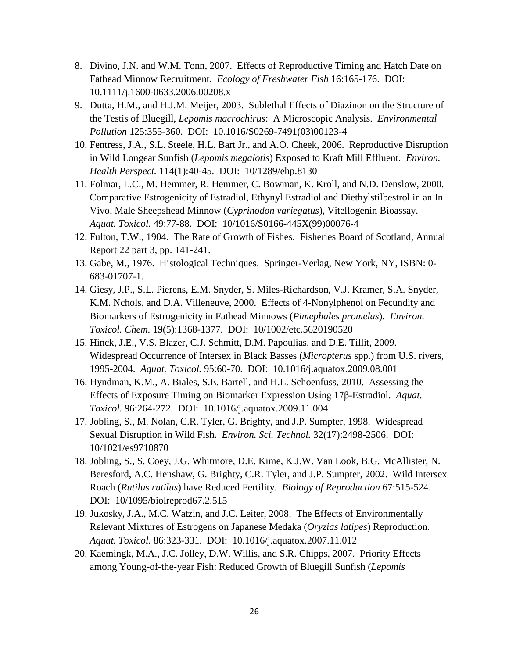- 8. Divino, J.N. and W.M. Tonn, 2007. Effects of Reproductive Timing and Hatch Date on Fathead Minnow Recruitment. *Ecology of Freshwater Fish* 16:165-176. DOI: 10.1111/j.1600-0633.2006.00208.x
- 9. Dutta, H.M., and H.J.M. Meijer, 2003. Sublethal Effects of Diazinon on the Structure of the Testis of Bluegill, *Lepomis macrochirus*: A Microscopic Analysis. *Environmental Pollution* 125:355-360. DOI: 10.1016/S0269-7491(03)00123-4
- 10. Fentress, J.A., S.L. Steele, H.L. Bart Jr., and A.O. Cheek, 2006. Reproductive Disruption in Wild Longear Sunfish (*Lepomis megalotis*) Exposed to Kraft Mill Effluent. *Environ. Health Perspect.* 114(1):40-45. DOI: 10/1289/ehp.8130
- 11. Folmar, L.C., M. Hemmer, R. Hemmer, C. Bowman, K. Kroll, and N.D. Denslow, 2000. Comparative Estrogenicity of Estradiol, Ethynyl Estradiol and Diethylstilbestrol in an In Vivo, Male Sheepshead Minnow (*Cyprinodon variegatus*), Vitellogenin Bioassay. *Aquat. Toxicol.* 49:77-88. DOI: 10/1016/S0166-445X(99)00076-4
- 12. Fulton, T.W., 1904. The Rate of Growth of Fishes. Fisheries Board of Scotland, Annual Report 22 part 3, pp. 141-241.
- 13. Gabe, M., 1976. Histological Techniques. Springer-Verlag, New York, NY, ISBN: 0- 683-01707-1.
- 14. Giesy, J.P., S.L. Pierens, E.M. Snyder, S. Miles-Richardson, V.J. Kramer, S.A. Snyder, K.M. Nchols, and D.A. Villeneuve, 2000. Effects of 4-Nonylphenol on Fecundity and Biomarkers of Estrogenicity in Fathead Minnows (*Pimephales promelas*). *Environ. Toxicol. Chem.* 19(5):1368-1377. DOI: 10/1002/etc.5620190520
- 15. Hinck, J.E., V.S. Blazer, C.J. Schmitt, D.M. Papoulias, and D.E. Tillit, 2009. Widespread Occurrence of Intersex in Black Basses (*Micropterus* spp.) from U.S. rivers, 1995-2004. *Aquat. Toxicol.* 95:60-70. DOI: 10.1016/j.aquatox.2009.08.001
- 16. Hyndman, K.M., A. Biales, S.E. Bartell, and H.L. Schoenfuss, 2010. Assessing the Effects of Exposure Timing on Biomarker Expression Using 17β-Estradiol. *Aquat. Toxicol.* 96:264-272. DOI: 10.1016/j.aquatox.2009.11.004
- 17. Jobling, S., M. Nolan, C.R. Tyler, G. Brighty, and J.P. Sumpter, 1998. Widespread Sexual Disruption in Wild Fish. *Environ. Sci. Technol.* 32(17):2498-2506. DOI: 10/1021/es9710870
- 18. Jobling, S., S. Coey, J.G. Whitmore, D.E. Kime, K.J.W. Van Look, B.G. McAllister, N. Beresford, A.C. Henshaw, G. Brighty, C.R. Tyler, and J.P. Sumpter, 2002. Wild Intersex Roach (*Rutilus rutilus*) have Reduced Fertility. *Biology of Reproduction* 67:515-524. DOI: 10/1095/biolreprod67.2.515
- 19. Jukosky, J.A., M.C. Watzin, and J.C. Leiter, 2008. The Effects of Environmentally Relevant Mixtures of Estrogens on Japanese Medaka (*Oryzias latipes*) Reproduction. *Aquat. Toxicol.* 86:323-331. DOI: 10.1016/j.aquatox.2007.11.012
- 20. Kaemingk, M.A., J.C. Jolley, D.W. Willis, and S.R. Chipps, 2007. Priority Effects among Young-of-the-year Fish: Reduced Growth of Bluegill Sunfish (*Lepomis*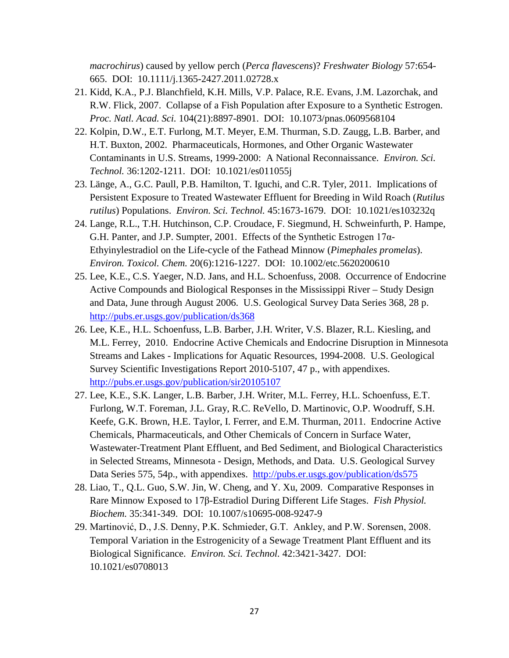*macrochirus*) caused by yellow perch (*Perca flavescens*)? *Freshwater Biology* 57:654- 665. DOI: 10.1111/j.1365-2427.2011.02728.x

- 21. Kidd, K.A., P.J. Blanchfield, K.H. Mills, V.P. Palace, R.E. Evans, J.M. Lazorchak, and R.W. Flick, 2007. Collapse of a Fish Population after Exposure to a Synthetic Estrogen. *Proc. Natl. Acad. Sci.* 104(21):8897-8901. DOI: 10.1073/pnas.0609568104
- 22. Kolpin, D.W., E.T. Furlong, M.T. Meyer, E.M. Thurman, S.D. Zaugg, L.B. Barber, and H.T. Buxton, 2002. Pharmaceuticals, Hormones, and Other Organic Wastewater Contaminants in U.S. Streams, 1999-2000: A National Reconnaissance. *Environ. Sci. Technol.* 36:1202-1211. DOI: 10.1021/es011055j
- 23. Länge, A., G.C. Paull, P.B. Hamilton, T. Iguchi, and C.R. Tyler, 2011. Implications of Persistent Exposure to Treated Wastewater Effluent for Breeding in Wild Roach (*Rutilus rutilus*) Populations. *Environ. Sci. Technol.* 45:1673-1679. DOI: 10.1021/es103232q
- 24. Lange, R.L., T.H. Hutchinson, C.P. Croudace, F. Siegmund, H. Schweinfurth, P. Hampe, G.H. Panter, and J.P. Sumpter, 2001. Effects of the Synthetic Estrogen 17α-Ethyinylestradiol on the Life-cycle of the Fathead Minnow (*Pimephales promelas*). *Environ. Toxicol. Chem.* 20(6):1216-1227. DOI: 10.1002/etc.5620200610
- 25. Lee, K.E., C.S. Yaeger, N.D. Jans, and H.L. Schoenfuss, 2008. Occurrence of Endocrine Active Compounds and Biological Responses in the Mississippi River – Study Design and Data, June through August 2006. U.S. Geological Survey Data Series 368, 28 p. <http://pubs.er.usgs.gov/publication/ds368>
- 26. Lee, K.E., H.L. Schoenfuss, L.B. Barber, J.H. Writer, V.S. Blazer, R.L. Kiesling, and M.L. Ferrey, 2010. Endocrine Active Chemicals and Endocrine Disruption in Minnesota Streams and Lakes - Implications for Aquatic Resources, 1994-2008. U.S. Geological Survey Scientific Investigations Report 2010-5107, 47 p., with appendixes. <http://pubs.er.usgs.gov/publication/sir20105107>
- 27. Lee, K.E., S.K. Langer, L.B. Barber, J.H. Writer, M.L. Ferrey, H.L. Schoenfuss, E.T. Furlong, W.T. Foreman, J.L. Gray, R.C. ReVello, D. Martinovic, O.P. Woodruff, S.H. Keefe, G.K. Brown, H.E. Taylor, I. Ferrer, and E.M. Thurman, 2011. Endocrine Active Chemicals, Pharmaceuticals, and Other Chemicals of Concern in Surface Water, Wastewater-Treatment Plant Effluent, and Bed Sediment, and Biological Characteristics in Selected Streams, Minnesota - Design, Methods, and Data. U.S. Geological Survey Data Series 575, 54p., with appendixes. <http://pubs.er.usgs.gov/publication/ds575>
- 28. Liao, T., Q.L. Guo, S.W. Jin, W. Cheng, and Y. Xu, 2009. Comparative Responses in Rare Minnow Exposed to 17β-Estradiol During Different Life Stages. *Fish Physiol. Biochem.* 35:341-349. DOI: 10.1007/s10695-008-9247-9
- 29. Martinović, D., J.S. Denny, P.K. Schmieder, G.T. Ankley, and P.W. Sorensen, 2008. Temporal Variation in the Estrogenicity of a Sewage Treatment Plant Effluent and its Biological Significance. *Environ. Sci. Technol.* 42:3421-3427. DOI: 10.1021/es0708013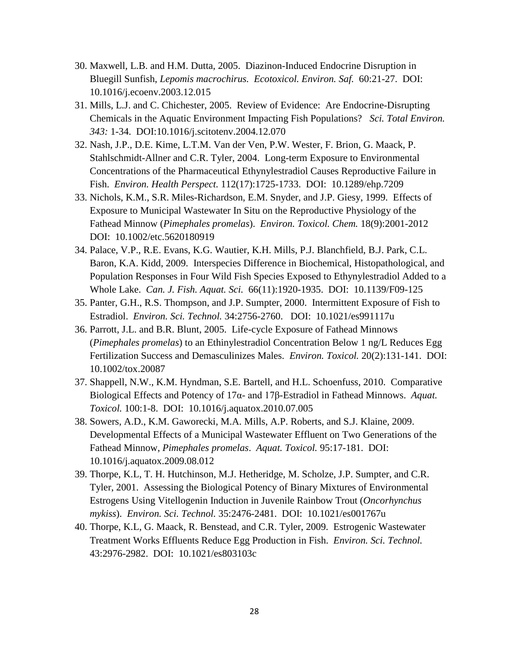- 30. Maxwell, L.B. and H.M. Dutta, 2005. Diazinon-Induced Endocrine Disruption in Bluegill Sunfish, *Lepomis macrochirus. Ecotoxicol. Environ. Saf.* 60:21-27. DOI: 10.1016/j.ecoenv.2003.12.015
- 31. Mills, L.J. and C. Chichester, 2005. Review of Evidence: Are Endocrine-Disrupting Chemicals in the Aquatic Environment Impacting Fish Populations? *Sci. Total Environ. 343:* 1-34. DOI:10.1016/j.scitotenv.2004.12.070
- 32. Nash, J.P., D.E. Kime, L.T.M. Van der Ven, P.W. Wester, F. Brion, G. Maack, P. Stahlschmidt-Allner and C.R. Tyler, 2004. Long-term Exposure to Environmental Concentrations of the Pharmaceutical Ethynylestradiol Causes Reproductive Failure in Fish. *Environ. Health Perspect.* 112(17):1725-1733. DOI: 10.1289/ehp.7209
- 33. Nichols, K.M., S.R. Miles-Richardson, E.M. Snyder, and J.P. Giesy, 1999. Effects of Exposure to Municipal Wastewater In Situ on the Reproductive Physiology of the Fathead Minnow (*Pimephales promelas*). *Environ. Toxicol. Chem.* 18(9):2001-2012 DOI: 10.1002/etc.5620180919
- 34. Palace, V.P., R.E. Evans, K.G. Wautier, K.H. Mills, P.J. Blanchfield, B.J. Park, C.L. Baron, K.A. Kidd, 2009. Interspecies Difference in Biochemical, Histopathological, and Population Responses in Four Wild Fish Species Exposed to Ethynylestradiol Added to a Whole Lake. *Can. J. Fish. Aquat. Sci.* 66(11):1920-1935. DOI: 10.1139/F09-125
- 35. Panter, G.H., R.S. Thompson, and J.P. Sumpter, 2000. Intermittent Exposure of Fish to Estradiol. *Environ. Sci. Technol.* 34:2756-2760. DOI: 10.1021/es991117u
- 36. Parrott, J.L. and B.R. Blunt, 2005. Life-cycle Exposure of Fathead Minnows (*Pimephales promelas*) to an Ethinylestradiol Concentration Below 1 ng/L Reduces Egg Fertilization Success and Demasculinizes Males. *Environ. Toxicol.* 20(2):131-141. DOI: 10.1002/tox.20087
- 37. Shappell, N.W., K.M. Hyndman, S.E. Bartell, and H.L. Schoenfuss, 2010. Comparative Biological Effects and Potency of 17α- and 17β-Estradiol in Fathead Minnows. *Aquat. Toxicol.* 100:1-8. DOI: 10.1016/j.aquatox.2010.07.005
- 38. Sowers, A.D., K.M. Gaworecki, M.A. Mills, A.P. Roberts, and S.J. Klaine, 2009. Developmental Effects of a Municipal Wastewater Effluent on Two Generations of the Fathead Minnow, *Pimephales promelas*. *Aquat. Toxicol.* 95:17-181. DOI: 10.1016/j.aquatox.2009.08.012
- 39. Thorpe, K.L, T. H. Hutchinson, M.J. Hetheridge, M. Scholze, J.P. Sumpter, and C.R. Tyler, 2001. Assessing the Biological Potency of Binary Mixtures of Environmental Estrogens Using Vitellogenin Induction in Juvenile Rainbow Trout (*Oncorhynchus mykiss*). *Environ. Sci. Technol.* 35:2476-2481. DOI: 10.1021/es001767u
- 40. Thorpe, K.L, G. Maack, R. Benstead, and C.R. Tyler, 2009. Estrogenic Wastewater Treatment Works Effluents Reduce Egg Production in Fish. *Environ. Sci. Technol.* 43:2976-2982. DOI: 10.1021/es803103c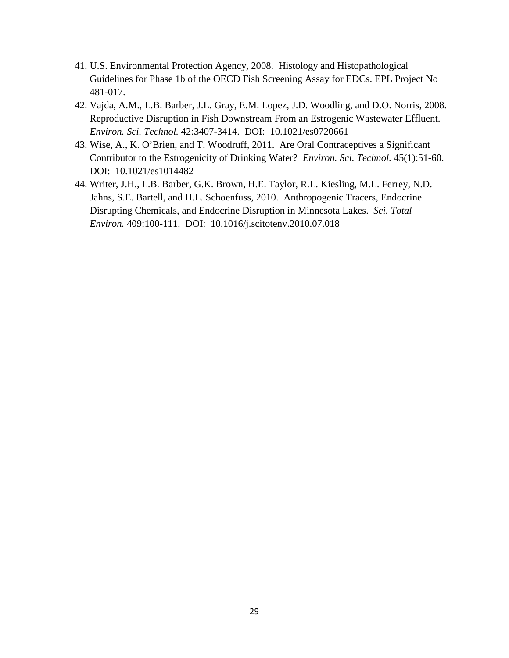- 41. U.S. Environmental Protection Agency, 2008. Histology and Histopathological Guidelines for Phase 1b of the OECD Fish Screening Assay for EDCs. EPL Project No 481-017.
- 42. Vajda, A.M., L.B. Barber, J.L. Gray, E.M. Lopez, J.D. Woodling, and D.O. Norris, 2008. Reproductive Disruption in Fish Downstream From an Estrogenic Wastewater Effluent. *Environ. Sci. Technol.* 42:3407-3414. DOI: 10.1021/es0720661
- 43. Wise, A., K. O'Brien, and T. Woodruff, 2011. Are Oral Contraceptives a Significant Contributor to the Estrogenicity of Drinking Water? *Environ. Sci. Technol.* 45(1):51-60. DOI: 10.1021/es1014482
- 44. Writer, J.H., L.B. Barber, G.K. Brown, H.E. Taylor, R.L. Kiesling, M.L. Ferrey, N.D. Jahns, S.E. Bartell, and H.L. Schoenfuss, 2010. Anthropogenic Tracers, Endocrine Disrupting Chemicals, and Endocrine Disruption in Minnesota Lakes. *Sci. Total Environ.* 409:100-111. DOI: 10.1016/j.scitotenv.2010.07.018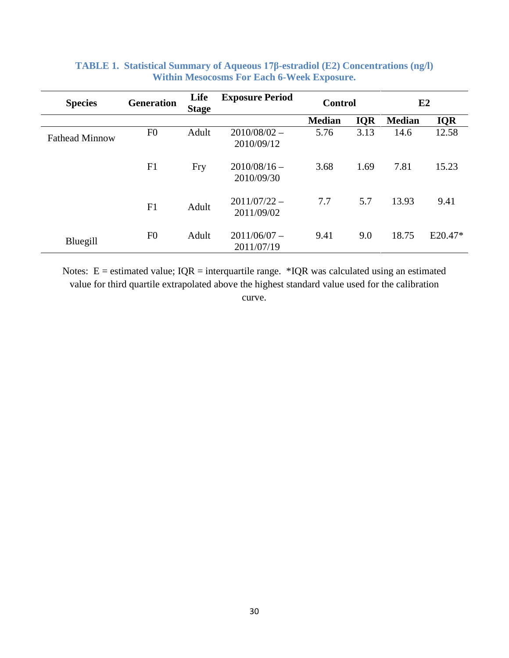| <b>Species</b>        | <b>Generation</b> | Life<br><b>Stage</b> | <b>Exposure Period</b>       | <b>Control</b> |            | E2            |            |  |
|-----------------------|-------------------|----------------------|------------------------------|----------------|------------|---------------|------------|--|
|                       |                   |                      |                              | <b>Median</b>  | <b>IQR</b> | <b>Median</b> | <b>IQR</b> |  |
| <b>Fathead Minnow</b> | F <sub>0</sub>    | Adult                | $2010/08/02 -$<br>2010/09/12 | 5.76           | 3.13       | 14.6          | 12.58      |  |
|                       | F1                | Fry                  | $2010/08/16$ –<br>2010/09/30 | 3.68           | 1.69       | 7.81          | 15.23      |  |
|                       | F1                | Adult                | $2011/07/22 -$<br>2011/09/02 | 7.7            | 5.7        | 13.93         | 9.41       |  |
| Bluegill              | F <sub>0</sub>    | Adult                | $2011/06/07 -$<br>2011/07/19 | 9.41           | 9.0        | 18.75         | $E20.47*$  |  |

## **TABLE 1. Statistical Summary of Aqueous 17β-estradiol (E2) Concentrations (ng/l) Within Mesocosms For Each 6-Week Exposure.**

Notes:  $E =$  estimated value;  $IQR =$  interquartile range. \*IQR was calculated using an estimated value for third quartile extrapolated above the highest standard value used for the calibration curve.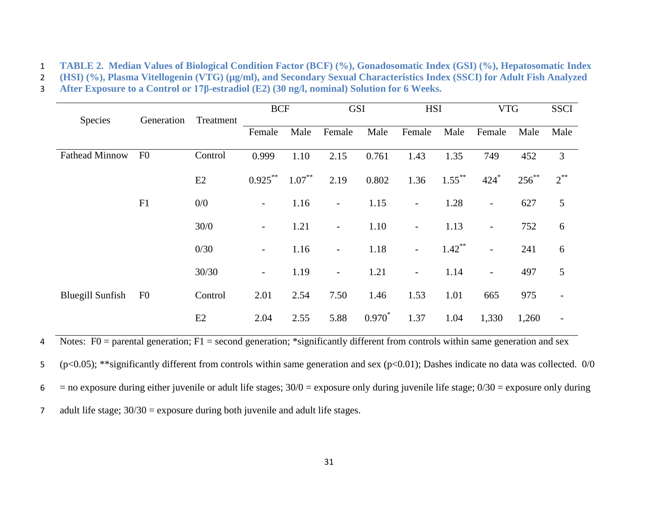1 **TABLE 2. Median Values of Biological Condition Factor (BCF) (%), Gonadosomatic Index (GSI) (%), Hepatosomatic Index** 

2 **(HSI) (%), Plasma Vitellogenin (VTG) (µg/ml), and Secondary Sexual Characteristics Index (SSCI) for Adult Fish Analyzed** 

3 **After Exposure to a Control or 17β-estradiol (E2) (30 ng/l, nominal) Solution for 6 Weeks.**

|                         | Generation     | Treatment | <b>BCF</b>               |           | <b>GSI</b>               |           | <b>HSI</b>               |           | <b>VTG</b>               |            | <b>SSCI</b>              |
|-------------------------|----------------|-----------|--------------------------|-----------|--------------------------|-----------|--------------------------|-----------|--------------------------|------------|--------------------------|
| <b>Species</b>          |                |           | Female                   | Male      | Female                   | Male      | Female                   | Male      | Female                   | Male       | Male                     |
| <b>Fathead Minnow</b>   | F <sub>0</sub> | Control   | 0.999                    | 1.10      | 2.15                     | 0.761     | 1.43                     | 1.35      | 749                      | 452        | 3                        |
|                         |                | E2        | $0.925***$               | $1.07***$ | 2.19                     | 0.802     | 1.36                     | $1.55***$ | $424*$                   | $256^{**}$ | $2^{**}$                 |
|                         | F1             | 0/0       | $\overline{\phantom{a}}$ | 1.16      | $\overline{\phantom{a}}$ | 1.15      | $\overline{\phantom{a}}$ | 1.28      | $\overline{\phantom{a}}$ | 627        | 5                        |
|                         |                | 30/0      | $\overline{\phantom{0}}$ | 1.21      | $\overline{\phantom{0}}$ | 1.10      | $\overline{\phantom{a}}$ | 1.13      | $\overline{\phantom{a}}$ | 752        | 6                        |
|                         |                | 0/30      | $\overline{\phantom{a}}$ | 1.16      | $\overline{\phantom{a}}$ | 1.18      | $\overline{\phantom{a}}$ | $1.42***$ | $\overline{\phantom{a}}$ | 241        | 6                        |
|                         |                | 30/30     | $\overline{\phantom{0}}$ | 1.19      | $\overline{\phantom{a}}$ | 1.21      | $\overline{\phantom{a}}$ | 1.14      | $\overline{\phantom{a}}$ | 497        | 5                        |
| <b>Bluegill Sunfish</b> | F <sub>0</sub> | Control   | 2.01                     | 2.54      | 7.50                     | 1.46      | 1.53                     | 1.01      | 665                      | 975        | $\overline{\phantom{a}}$ |
|                         |                | E2        | 2.04                     | 2.55      | 5.88                     | $0.970^*$ | 1.37                     | 1.04      | 1,330                    | 1,260      | $\overline{\phantom{a}}$ |

A Notes:  $F0$  = parental generation;  $F1$  = second generation; \*significantly different from controls within same generation and sex

5 (p<0.05); \*\*significantly different from controls within same generation and sex (p<0.01); Dashes indicate no data was collected. 0/0

 $6 = no$  exposure during either juvenile or adult life stages;  $30/0 =$  exposure only during juvenile life stage;  $0/30 =$  exposure only during

7 adult life stage;  $30/30 =$  exposure during both juvenile and adult life stages.